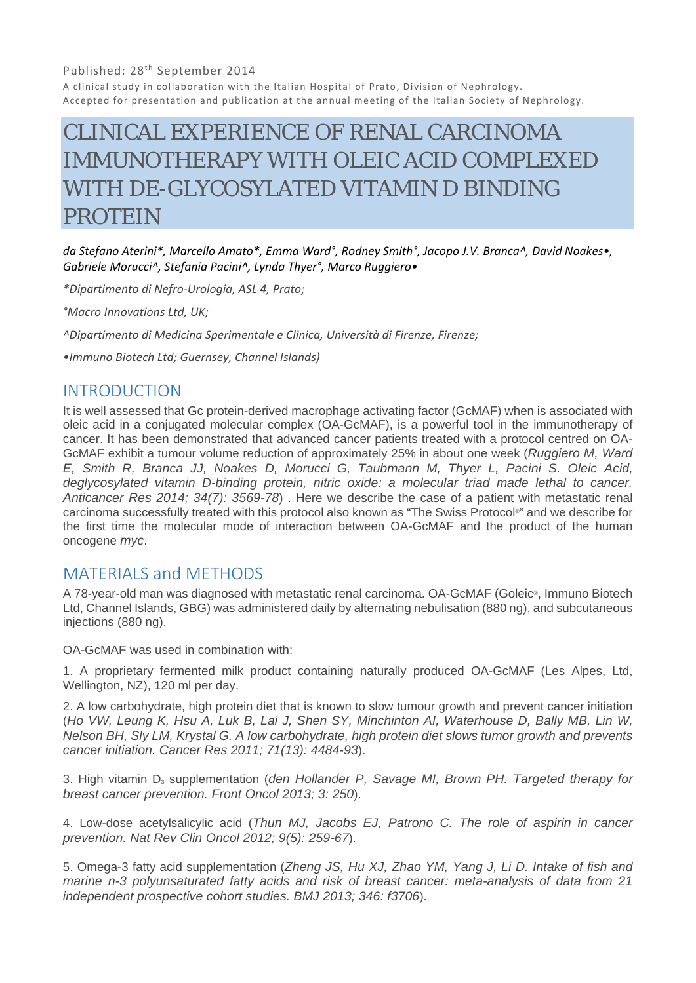#### Published: 28<sup>th</sup> September 2014

A clinical study in collaboration with the Italian Hospital of Prato, Division of Nephrology. Accepted for presentation and publication at the annual meeting of the Italian Society of Nephrology.

# CLINICAL EXPERIENCE OF RENAL CARCINOMA IMMUNOTHERAPY WITH OLEIC ACID COMPLEXED WITH DE-GLYCOSYLATED VITAMIN D BINDING PROTEIN

*da Stefano Aterini\*, Marcello Amato\*, Emma Ward°, Rodney Smith°, Jacopo J.V. Branca^, David Noakes•, Gabriele Morucci^, Stefania Pacini^, Lynda Thyer°, Marco Ruggiero•* 

*\*Dipartimento di Nefro‐Urologia, ASL 4, Prato;*

*°Macro Innovations Ltd, UK;*

*^Dipartimento di Medicina Sperimentale e Clinica, Università di Firenze, Firenze;*

*•Immuno Biotech Ltd; Guernsey, Channel Islands)*

#### INTRODUCTION

It is well assessed that Gc protein-derived macrophage activating factor (GcMAF) when is associated with oleic acid in a conjugated molecular complex (OA-GcMAF), is a powerful tool in the immunotherapy of cancer. It has been demonstrated that advanced cancer patients treated with a protocol centred on OA-GcMAF exhibit a tumour volume reduction of approximately 25% in about one week (*Ruggiero M, Ward E, Smith R, Branca JJ, Noakes D, Morucci G, Taubmann M, Thyer L, Pacini S. Oleic Acid, deglycosylated vitamin D-binding protein, nitric oxide: a molecular triad made lethal to cancer. Anticancer Res 2014; 34(7): 3569-78*) . Here we describe the case of a patient with metastatic renal carcinoma successfully treated with this protocol also known as "The Swiss Protocol®" and we describe for the first time the molecular mode of interaction between OA-GcMAF and the product of the human oncogene *myc*.

### MATERIALS and METHODS

A 78-year-old man was diagnosed with metastatic renal carcinoma. OA-GcMAF (Goleic®, Immuno Biotech Ltd, Channel Islands, GBG) was administered daily by alternating nebulisation (880 ng), and subcutaneous injections (880 ng).

OA-GcMAF was used in combination with:

1. A proprietary fermented milk product containing naturally produced OA-GcMAF (Les Alpes, Ltd, Wellington, NZ), 120 ml per day.

2. A low carbohydrate, high protein diet that is known to slow tumour growth and prevent cancer initiation (*Ho VW, Leung K, Hsu A, Luk B, Lai J, Shen SY, Minchinton AI, Waterhouse D, Bally MB, Lin W, Nelson BH, Sly LM, Krystal G. A low carbohydrate, high protein diet slows tumor growth and prevents cancer initiation. Cancer Res 2011; 71(13): 4484-93*).

3. High vitamin D<sub>3</sub> supplementation (*den Hollander P, Savage MI, Brown PH, Targeted therapy for breast cancer prevention. Front Oncol 2013; 3: 250*).

4. Low-dose acetylsalicylic acid (*Thun MJ, Jacobs EJ, Patrono C. The role of aspirin in cancer prevention. Nat Rev Clin Oncol 2012; 9(5): 259-67*).

5. Omega-3 fatty acid supplementation (*Zheng JS, Hu XJ, Zhao YM, Yang J, Li D. Intake of fish and marine n-3 polyunsaturated fatty acids and risk of breast cancer: meta-analysis of data from 21 independent prospective cohort studies. BMJ 2013; 346: f3706*).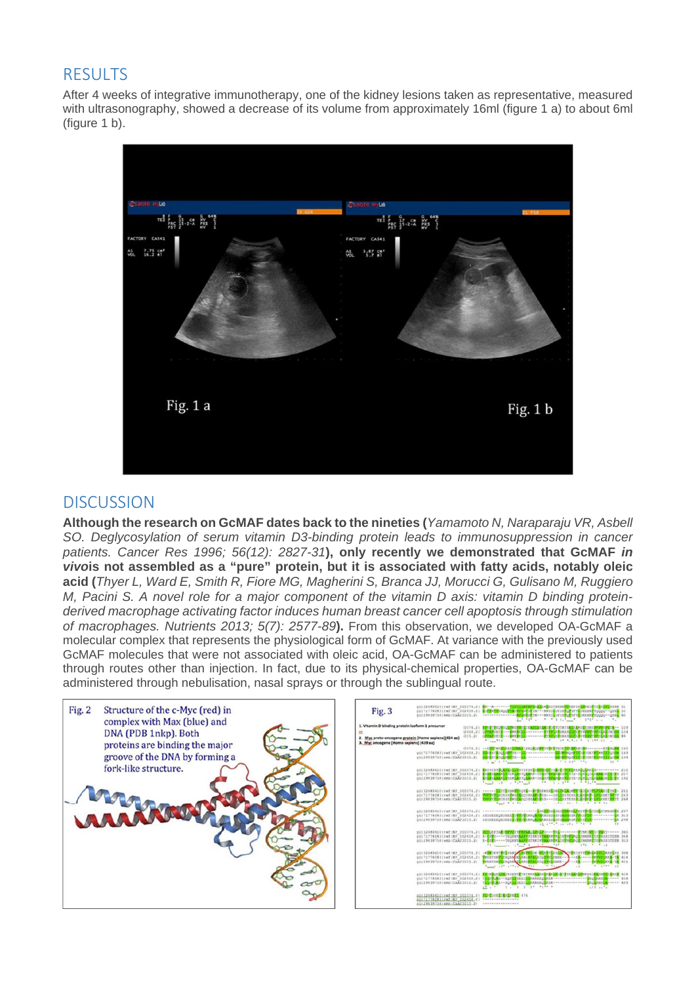## **RESULTS**

After 4 weeks of integrative immunotherapy, one of the kidney lesions taken as representative, measured with ultrasonography, showed a decrease of its volume from approximately 16ml (figure 1 a) to about 6ml (figure 1 b).



### **DISCUSSION**

**Although the research on GcMAF dates back to the nineties (***Yamamoto N, Naraparaju VR, Asbell SO. Deglycosylation of serum vitamin D3-binding protein leads to immunosuppression in cancer patients. Cancer Res 1996; 56(12): 2827-31***), only recently we demonstrated that GcMAF** *in vivo***is not assembled as a "pure" protein, but it is associated with fatty acids, notably oleic acid (***Thyer L, Ward E, Smith R, Fiore MG, Magherini S, Branca JJ, Morucci G, Gulisano M, Ruggiero M, Pacini S. A novel role for a major component of the vitamin D axis: vitamin D binding proteinderived macrophage activating factor induces human breast cancer cell apoptosis through stimulation of macrophages. Nutrients 2013; 5(7): 2577-89***).** From this observation, we developed OA-GcMAF a molecular complex that represents the physiological form of GcMAF. At variance with the previously used GcMAF molecules that were not associated with oleic acid, OA-GcMAF can be administered to patients through routes other than injection. In fact, due to its physical-chemical properties, OA-GcMAF can be administered through nebulisation, nasal sprays or through the sublingual route.